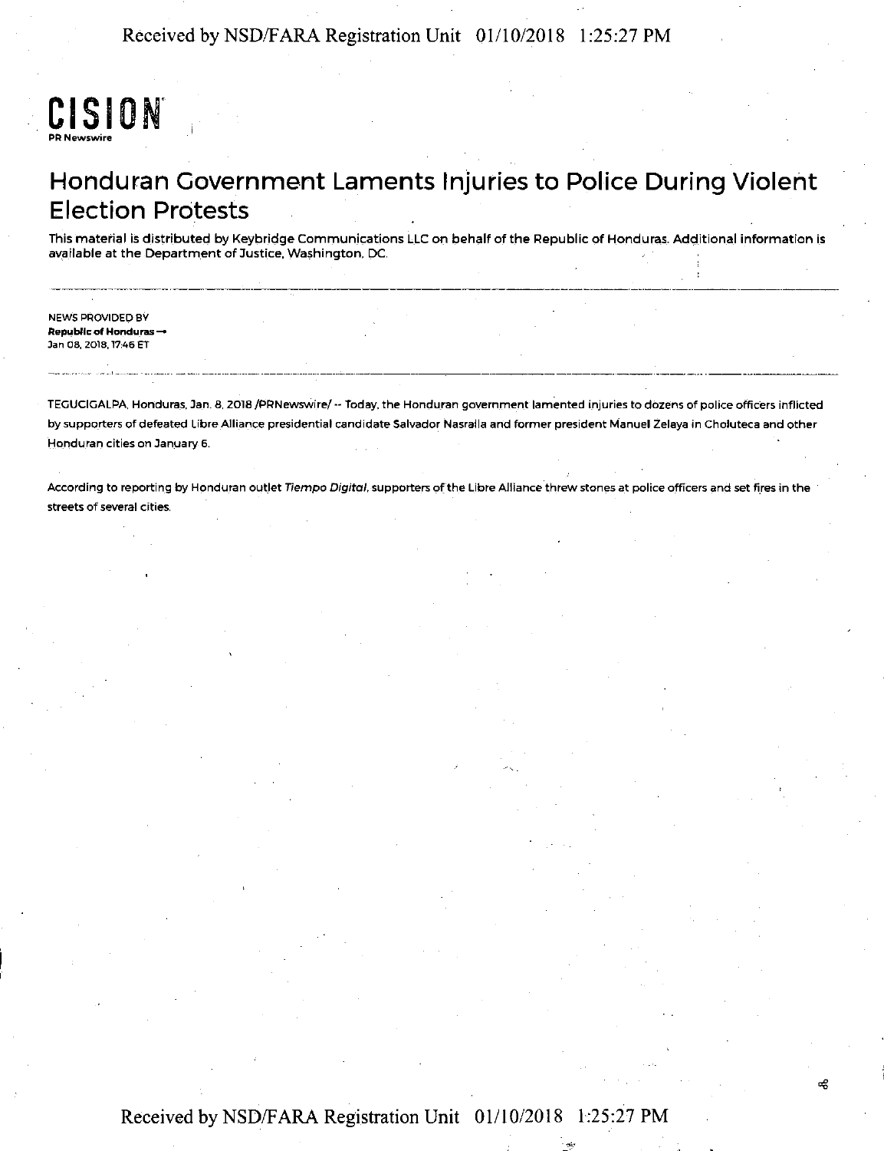## CISION PR Newswire

### Honduran Government Laments Injuries to Police During Violent Election Protests

This material is distributed by Keybridge Communications LLC on behalf of the Republic of Honduras. Additional information is available at the Department of Justice, Washington. DC.

NEWS PROVIDED BY Republic of Honduras  $\rightarrow$ Jan OB, 2018, 17:46 ET

TEGUCIGALPA. Honduras, Jan. 8, 2018 /PRNewswire/ -- Today, the Honduran government lamented injuries to dozens of police officers inflicted by supporters of defeated Libre Alliance presidential candidate Salvador Nasralla and former president Manuel Zelaya in Choluteca and other Honduran cities on January 6.

--------------------------------------

According to reporting by Honduran outlet Tiempo Digital, supporters of the Libre Alliance threw stones at police officers and set fires in the streets of several cities.

### Received by NSD/F ARA Registration Unit 01/10/2018 1:25:27 PM

æ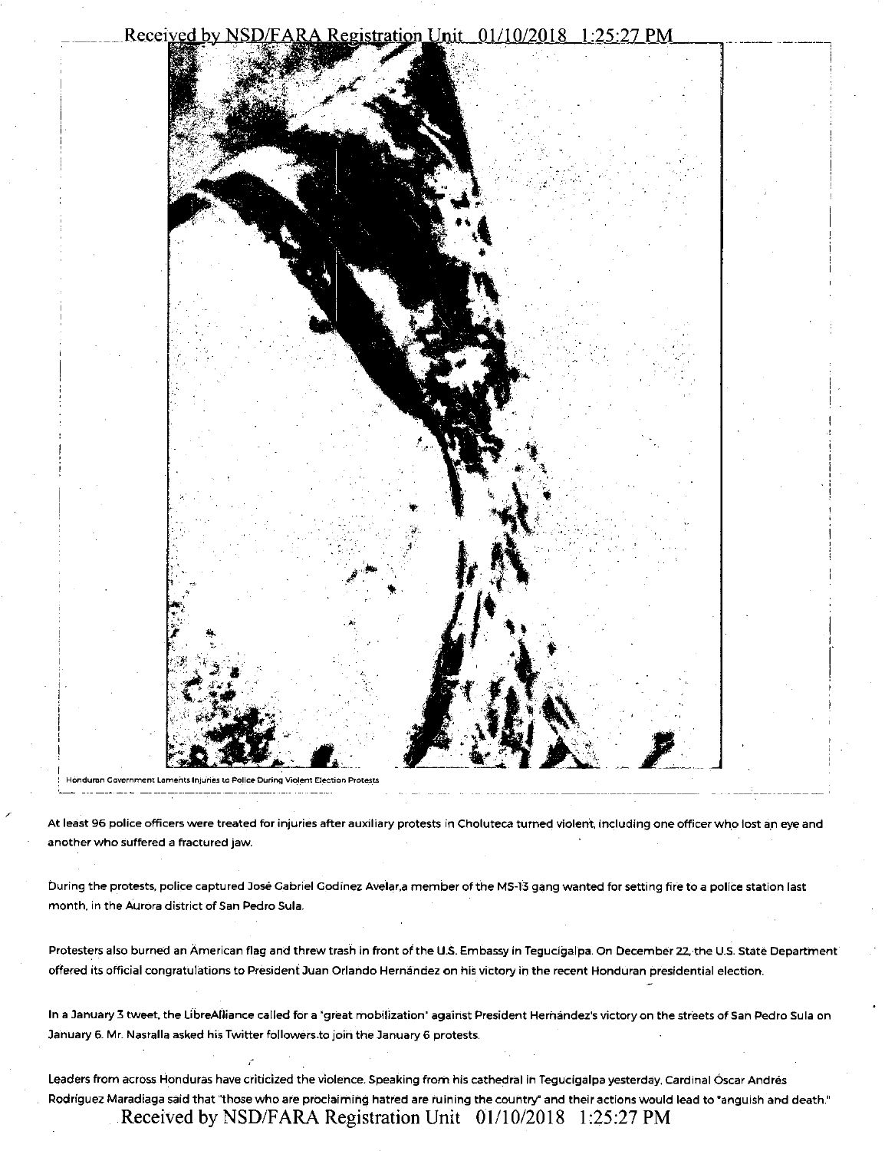#### Received by NSD/FARA Registration Unit 01/10/2018 1:25:27 PM



Honduran Government Laments Injuries to Police During Violent Election Protests

At least 96 police officers were treated for injuries after auxiliary protests in Choluteca turned violent, including one officer who lost an eye and another who suffered a fractured jaw.

- - -- ·--------- ~ '

During the protests, police captured Jose Gabriel Godinez Avelar.a member of the MS-13 gang wanted for setting fire to a polite station last month. in the Aurora district of San Pedro Sula.

Protesters also burned an American flag and threw trash in front of the U.S. Embassy in Tegucigalpa. On December 22,-the U.S. State Department offered its official congratulations to President Juan Orlando Hernández on his victory in the recent Honduran presidential election.

In a January 3 tweet, the LibreAlliance called for a 'great mobilization' against President Hernandez's victory on the streets of San Pedro Sula on January 6. Mr. Nasralla asked his Twitter followers.to joih the January 6 protests.

leaders from across Honduras have criticized the violence. Speaking from his cathedral in Tegucigalpa yesterday, Cardinal Oscar Andres Rodriguez Maradiaga said that "those who are proclaiming hatred are ruining the country" and their actions would lead to "anguish and death." Received by NSD/FARA Registration Unit 01/10/2018 1:25:27 PM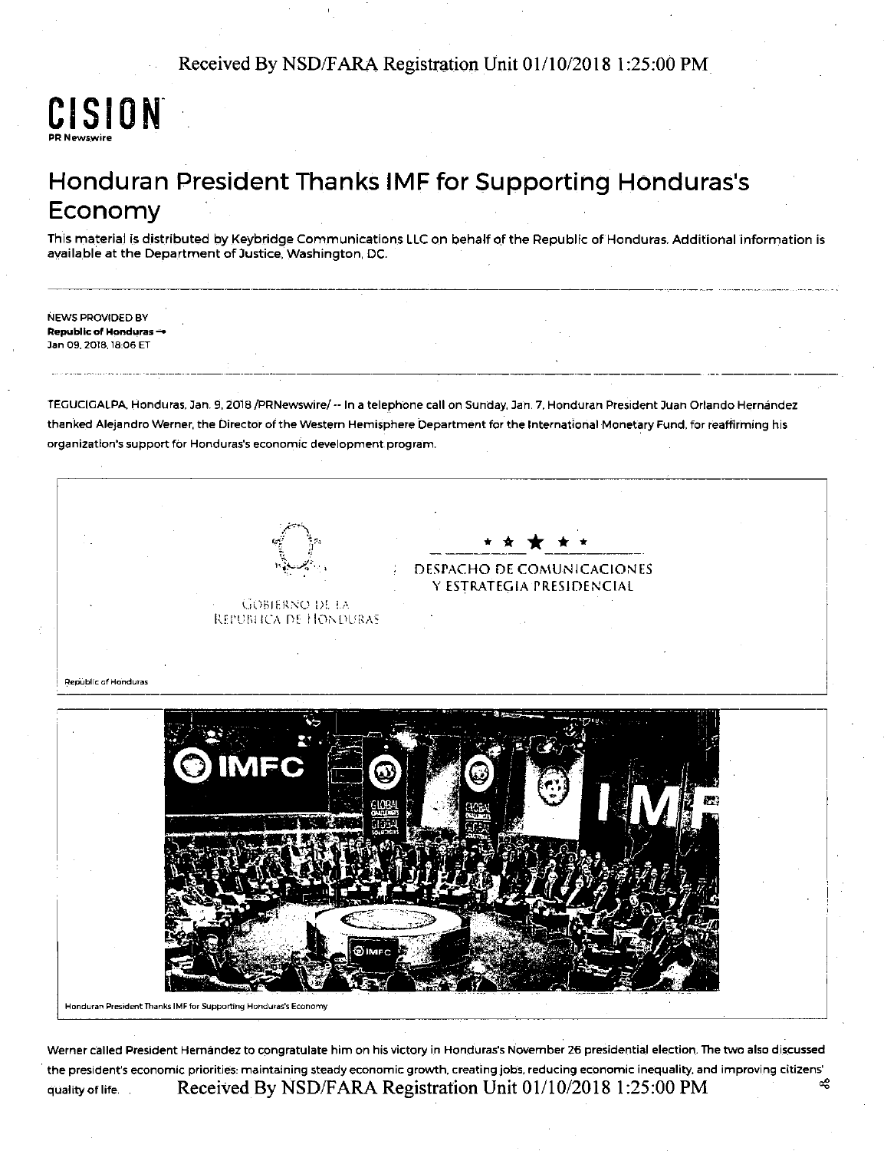### Received By NSD/FARA Registration Unit 01/10/2018 1:25:00 PM

### CISION<sup>®</sup> PR Newswire

# Honduran President Thanks IMF for Supporting Honduras's Economy

--------------------------------------------------~--·-

This material is distributed by Keybridge Communications LLC on behalf of the Republic of Honduras. Additional information is available at the Department of Justice, Washington, DC.

NEWS PROVIDED BY Republic of Honduras -Jan 09. 2018. 18:06 ET

TEGUCIGALPA Honduras, Jan. 9, 2078 /PRNewswire/ -- In a telephone call on Sunday, Jan. 7, Honduran President Juan Orlando Hernandez thanked Alejandro Werner, the Director of the Western Hemisphere Department for the International Monetary Fund, for reaffirming his organization's support for Honduras's economic development program.



Honduran President Thanks IMF for Supporting Honduras's Economy

Werner called President Hernandez to congratulate him on his victory in Honduras's November 26 presidential election. The two also discussed the president's economic priorities: maintaining steady economic growth. creating jobs, reducing economic inequality. and improving citizens' quality of life. Received By NSD/FARA Registration Unit  $01/10/2018$  1:25:00 PM  $\frac{48}{5}$